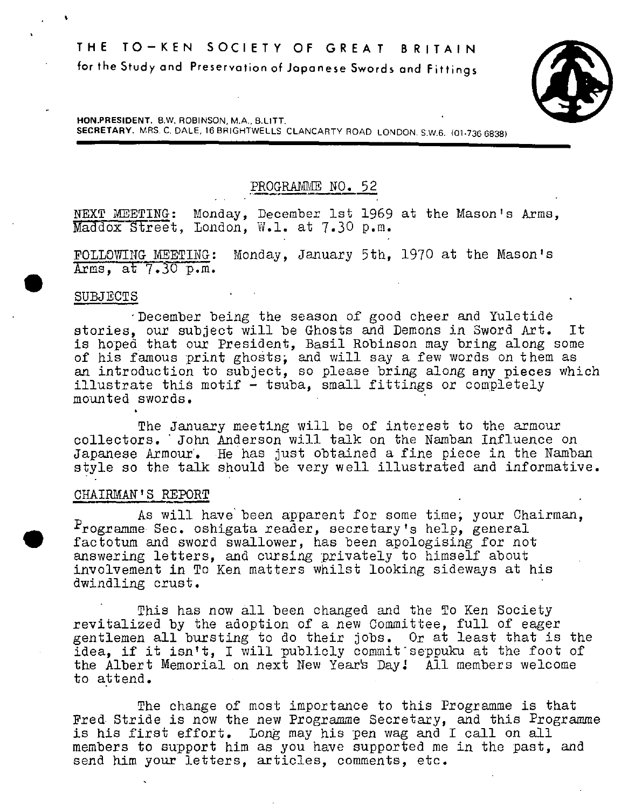**HON.PRESIDENT.** B.W. ROBINSON, M.A., B.LITT.

**SECRETARY.** MRS. C. DALE, 18 BRIGHTWELLS CLANCARTY ROAD LONDON. S,W.6. (01-736 6838)

PROGRAMME NO. 52

NEXT MEETING: Monday, December 1st 1969 at the Mason's Arms, Maddox Street, London, W.1. at 7.30 p.m.

FOLLOWING MEETING: Monday, January 5th, 1970 at the Mason's Arms, at 7.30 p.m.

#### SUBJECTS

**S** 

'December being the season of good cheer and Yuletide stories, our subject will be Ghosts and Demons in Sword Art. It is hoped that our President, Basil Robinson may bring along some of his famous print ghosts; and will say a few words on them as an introduction to subject, so please bring along any pieces which illustrate this motif - tsuba, small fittings or completely mounted swords.

The January meeting will be of interest to the armour collectors. ' John Anderson will talk on the Namban Influence on Japanese Armour'. He has just obtained a fine piece in the Namban style so the talk should be very well illustrated and informative.

#### CHAIRMAN'S REPORT

As will have been apparent for some time; your Chairman, Programme Sec. oshigata reader, secretary's help, general factotum and sword swallower, has been apologising for not answering letters, and cursing privately to himself about involvement in To Ken matters whilst looking sideways at his dwindling crust.

This has now all been changed and the To Ken Society revitalized by the adoption of a new Committee, full of eager gentlemen all bursting to do their jobs. Or at least that is the idea, if it isn't, I will publicly commitseppuku at the foot of the Albert Memorial on next New Year's Day! All members welcome to attend.

The change of most importance to this Programme is that Pred Stride is now the new Programme Secretary, and this Programme is his first effort. Long may his pen wag and I call on all members to support him as you have supported me in the past, and send him your letters, articles, comments, etc.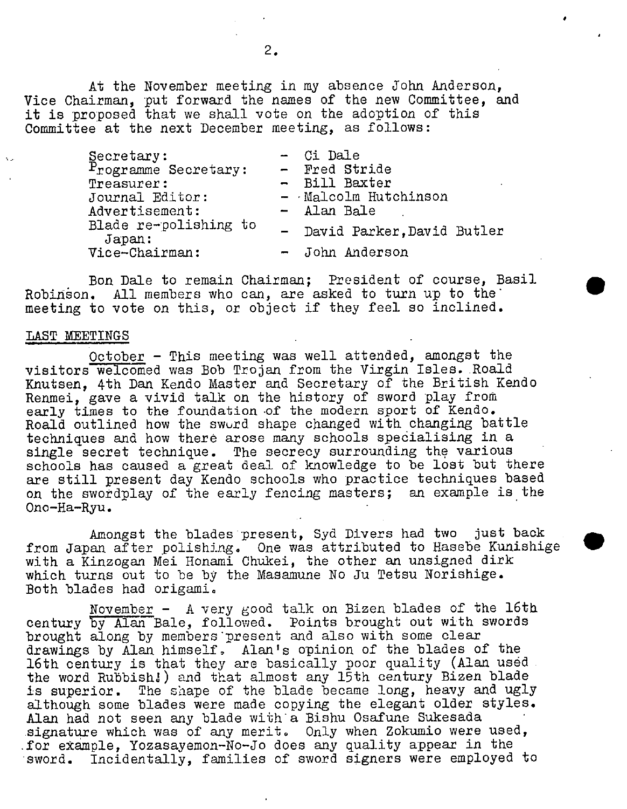At the November meeting in my absence John Anderson, Vice Chairman, put forward the names of the new Committee, and it is proposed that we shall vote on the adoption of this Committee at the next December meeting, as follows:

| Secretary:                      | - Ci Dale                    |
|---------------------------------|------------------------------|
| Programme Secretary:            | - Fred Stride                |
| Treasurer:                      | - Bill Baxter                |
| Journal Editor:                 | - Malcolm Hutchinson         |
| Advertisement:                  | - Alan Bale                  |
| Blade re-polishing to<br>Japan: | - David Parker, David Butler |
| Vice-Chairman:                  | - John Anderson              |

.

Bon Dale to remain Chairman; President of course, Basil Robinson. All members who can, are asked to turn up to the meeting to vote on this, or object if they feel so inclined.

#### LAST NEETINGS

October - This meeting was well attended, amongst the visitors welcomed was Bob Trojan from the Virgin Isles. Roald Knutsen, 4th Dan Kendo Master and Secretary of the British Kendo Renmei, gave a vivid talk on the history of sword play from early times to the foundation of the modern sport of Kendo. Roald outlined how the swurd shape changed with changing battle techniques and how there arose many schools spedialising in a single secret technique. The secrecy surrounding the various schools has caused a great deal of knowledge to be lost but there are still present day Kendo schools who practice techniques based on the swotdplay of the early fencing masters; an example is the Ono-Ha-Ryu.

Amongst the blades present, Syd Divers had two just back from Japan after polishing. One was attributed to Hasebe Kunishige with a Kinzogan Mei Honami Chukei, the other an unsigned dirk which turns out to be by the Masamune No Ju Tetsu Norishige. Both blades had origami.

November - A very good talk on Bizen blades of the 16th century by Alan Bale, followed. Points brought out with swords brought along by members present and also with some clear drawings by Alan himself, Alan's opinion of the blades of the 16th century is that they are basically poor Quality (Alan used the word Rubbish.!) and that almost any 15th century Bizen blade is superior. The shape of the blade became long, heavy and ugly although some blades were made copying the elegant older styles. Alan had not seen any blade with a Bishu Osafune Sukesada signature which was of any merit. Only when Zokumio were used, for example, Yozasayemon-No-Jo does any quality appear in the<br>sword. Incidentally, families of sword signers were employed Incidentally, families of sword signers were employed to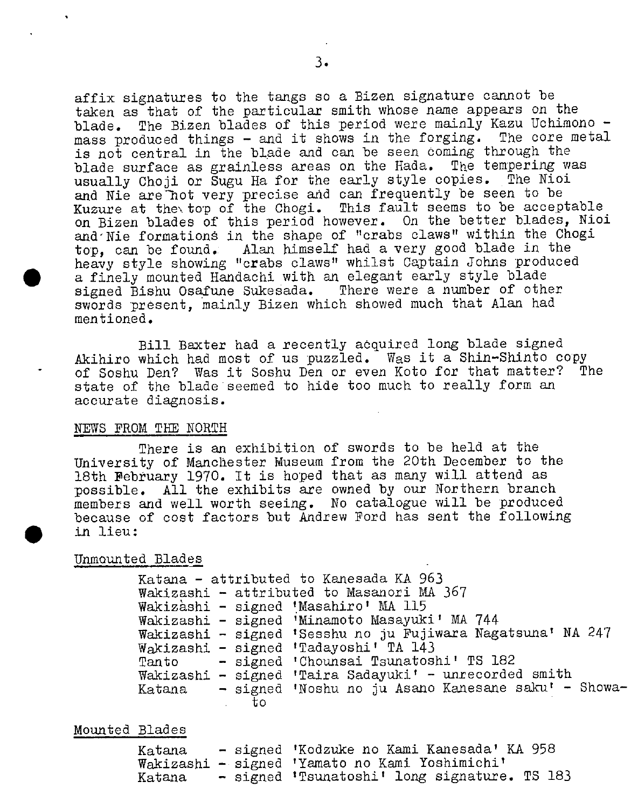affix signatures to the tangs so a Bizen signature cannot be taken as that of the particular smith whose name appears on the blade. The Bizen blades of this period were mainly Kazu Uchimono mass produced things - and it shows in the forging. The core metal is not central in the blade and can be seen coming through the<br>blade surface as grainless areas on the Hada. The tempering was blade surface as grainless areas on the Hada. The tempering was usually Choji or Sugu Ha for the early style copies. and Nie are Thot very precise and can frequently be seen to be Kuzure at the\ top of the Chogi. This fault seems to be acceptable on Bizen blades of this period however. On the better blades, Nioi and'Nie formations in the shape of "crabs claws" within the Chogi top, can be found. Alan himself had a very good blade in the heavy style showing "crabs claws" whilst Captain Johns produced a finely mounted Handachi with an elegant early style blade signed Bishu Osafune Sukesada. There were a number of other swords present, mainly Bizen which showed much that Alan had mentioned.

Bill Baxter had a recently acquired long blade signed Akihiro which had most of us puzzled. Was it a Shin-Shinto copy<br>of Soshu Den? Was it Soshu Den or even Koto for that matter? The of Soshu Den? Was it Soshu Den or even Koto for that matter? state of the blade seemed to hide too much to really form an aoourate diagnosis.

#### NEWS FROM THE NORTH

There is an exhibition of swords to be held at the University of Mancbester Museum from the 20th December to the 18th February 1970. It is hoped that as many will attend as possible. All the exhibits are owned by our Northern branch members and well worth seeing. No catalogue will be produced because of cost factors but Andrew Ford has sent the following in lieu:

## Unmounted Blades

 $\bullet$ 

Katana - attributed to Kanesada KA 963 Wakizashi - attributed to Masanori MA 367 Wakizashi - signed 'Masahiro' MA 115 Wadcizashi - signed 'Minamoto Masayuki' MA 744 Wakizashi - signed 'Sesshu no ju Fujiwara Nagatsuna' NA 247 Wakizashi - signed 'Tadayoshi' TA 143 Tan to Wakizashi - signed 'Taira Sadayuki' - unrecorded smith Katana - signed 'Noshu no ju Asano Kanesane saku' - Showa-- signed 'Chounsai Tsunatoshi' TS 182 to

Mounted Blades

| Katana |  | - signed 'Kodzuke no Kami Kanesada' KA 958     |
|--------|--|------------------------------------------------|
|        |  | Wakizashi - signed 'Yamato no Kami Yoshimichi' |
| Katana |  | - signed 'Tsunatoshi' long signature. TS 183   |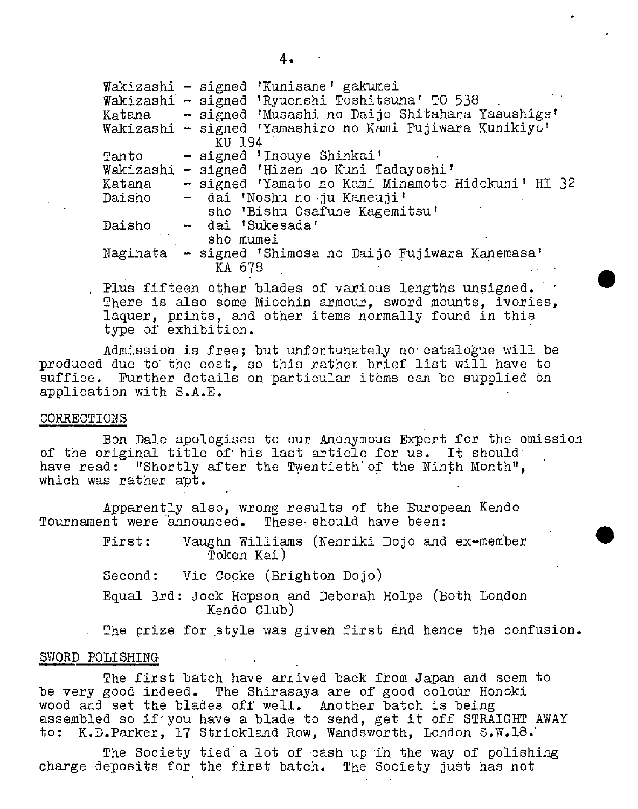|        | Wakizashi - signed 'Kunisane' gakumei                    |  |  |
|--------|----------------------------------------------------------|--|--|
|        | Wakizashi - signed 'Ryuenshi Toshitsuna' TO 538          |  |  |
|        | Katana - signed 'Musashi no Daijo Shitahara Yasushige'   |  |  |
|        | Wakizashi - signed 'Yamashiro no Kami Fujiwara Kunikiyo' |  |  |
|        | KU 194                                                   |  |  |
| Tanto  | - signed 'Inouye Shinkai'                                |  |  |
|        | Wakizashi - signed 'Hizen no Kuni Tadayoshi'             |  |  |
| Katana | - signed 'Yamato no Kami Minamoto Hidekuni' HI 32        |  |  |
| Daisho | - dai 'Noshu no ju Kaneuji'                              |  |  |
|        | sho 'Bishu Osafune Kagemitsu'                            |  |  |
| Daisho | - dai 'Sukesada'                                         |  |  |
|        | sho mumei                                                |  |  |
|        | Naginata - signed 'Shimosa no Daijo Fujiwara Kanemasa'   |  |  |
|        | KA 678                                                   |  |  |
|        |                                                          |  |  |

 $\bullet$ 

Plus fifteen other blades of various lengths unsigned. There is also some Miochin armour, sword mounts, ivories, laquer, prints, and other items normally found in this type of exhibition.

Admission is free; but unfortunately no catalogue will be produced due to the cost, so this rather brief list will have to suffice. Further details on particular items can be supplied on application with S.A.E.

#### CORRECTIONS

Ben Dale apologises to our Anonymous Expert for the omission of the original title of his last article for us. It should have read: "Shortly after the Twentieth of the Ninth Month", which was rather apt.

Apparently also, wrong results of the European Kendo Tournament were announced. These should have been:

> First: Vaughn Williams (Nenriki Dojo and ex-member Token Kai)

Second: Vic Copke (Brighton Dojo)

Equal 3rd: Jock Hopson and Deborah Hoipe (Both London Kendo Club)

The prize for style was given first and hence the confusion.

#### SWORD POLISHING

The first batch have arrived back from Japan and seem to be very good indeed. The Shirasaya are of good colour Honoki wood and set the blades off well. Another batch is being assembled so if you have a blade to send, get it off STRAIGHT AWAY to: K.D.Parker, 17 Strickland Row. Wandsworth, London S.W.18.

The Society tied a lot of cash up in the way of polishing charge deposits for the first batch. The Society just has not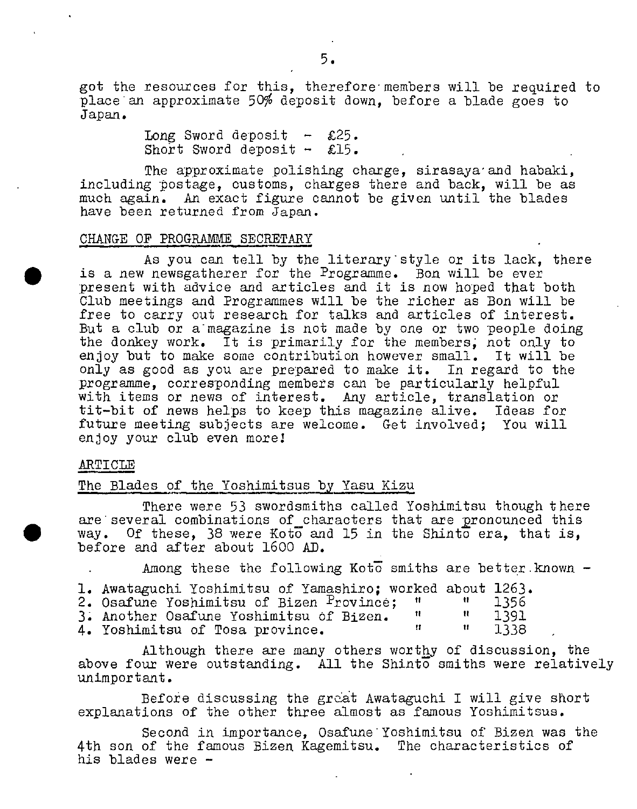got the resources for this, therefore members will be required to place an approximate 50% deposit down, before a blade goes to Japan.

> Long Sword deposit  $-$  £25. Short Sword deposit  $-$  £15.

The approximate polishing charge, sirasaya and habaki, including postage, customs, charges there and back, will be as much again. An exact figure cannot be given until the blades have been returned from Japan.

#### CHANGE OF PROGRAMME SECRETARY

As you can tell by the literary style or its lack, there is a new newsgatherer for the Programme. Bon will be ever present with advice and articles and it is now hoped that both Club meetings and Programmes will be the richer as Bon will be free to carry out research for talks and articles of interest. But a club or a magazine is not made by one or two people doing the donkey work. It is primarily for the members, not only to enjoy but to make some contribution however small. It will be enjoy but to make some contribution however small. only as good as you are prepared to make it. In regard to the programme, corresponding members can be particularly helpful with items or news of interest. Any article, translation or tit-bit of news helps to keep this magazine alive. Ideas for future meeting subjects are welcome. Get involved; You will enjoy your club even morel

#### ARTICLE

## The Blades of the Yoshimitsus by Yasu Kizu

There were 53 swordsmiths called Yoshimitsu though there are several combinations of characters that are pronounced this way. Of these, 38 were Koto and 15 in the Shinto era, that is, before and after about 1600 AD.

Among these the following Koto smiths are better. known  $-$ 

| 1. Awataguchi Yoshimitsu of Yamashiro: worked about 1263. |  |       |
|-----------------------------------------------------------|--|-------|
| 2. Osafune Yoshimitsu of Bizen <sup>P</sup> rovince; "    |  | -1356 |
| 3. Another Osafune Yoshimitsu of Bizen.                   |  | 1391  |
| 4. Yoshimitsu of Tosa province.                           |  | 1338  |

Although there are many others worthy of discussion, the above four were outstanding. All the Shinto smiths were relatively unimportant.

Before discussing the great Awataguchi I will give short explanations of the other three almost as famous Yoshimitsus.

Second in importance, Osafune Yoshimitsu of Bizen was the 4th son of the famous Bizen Kagemitsu. The characteristics of his blades were -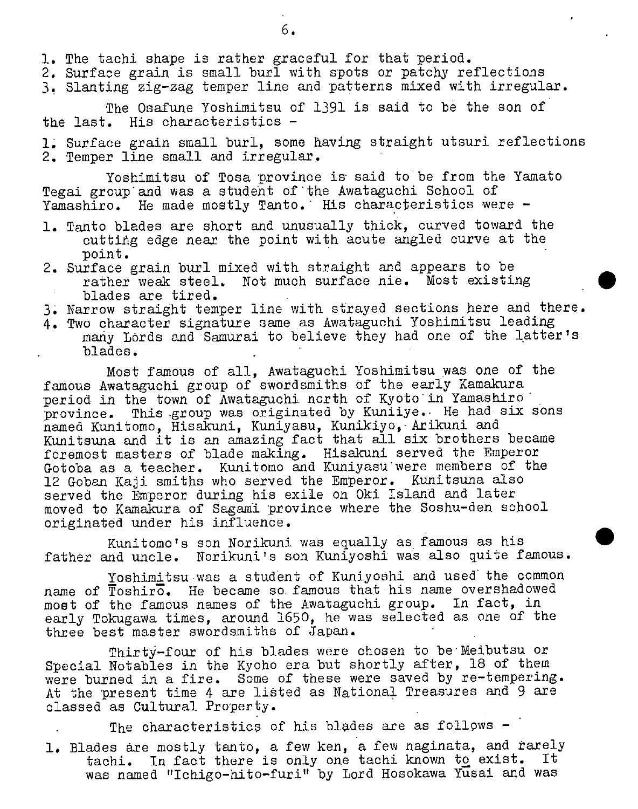- 1. The tachi shape is rather graceful for that period.
- 2. Surface grain is small burl with spots or patchy reflections
- 3. Slanting zig-zag temper line and patterns mixed with irregular.

The Osafune Yoshimitsu of 1391 is said to be the son of the last. His characteristics -

1; Surface grain small burl, some having straight utsuri refleotions 2. Temper line small and irregular.

Yoshimitsu of Tosa province is said to be from the Yamato Tegai group and was a student of the Awataguchi School of Yamashiro. He made mostly Tanto. His characteristics were  $-$ 

- 1. Tanto blades are short and unusually thick, curved toward the cutting edge near the point with acute angled curve at the point.
- 2. Surface grain burl mixed with straight and appears to be rather weak steel. Not much surface nie. Most existing blades are tired.
- 3. Narrow straight temper line with strayed sections here and there.
- 4. Two character signature same as Awataguchi Yoshimitsu leading many Lords and Samurai to believe they had one of the latter's blades.

Most famous of all, Awataguchi Yoshimitsu was one of the famous Awataguchi group of swordsmiths of the early Kamakura period in the town of Awataguchi north of Kyoto in Yamashiro province. This group was originated by Kuniiye. He had six sons named Kunitomo, Hisakuni, Kuniyasu, Kunikiyo, Arikuni and Kunitsuna and it is an amazing fact that all six brothers became foremost masters of blade making. Hisakuni served the Emperor Gotoba as a teacher. Kunitomo and Kuniyasu were members of the 12 Goban Kaji smiths who served the Emperor. Kunitsuna also served the Emperor during his exile on Oki Island and later moved to Kamakura of Sagami province where the Soshu-den school originated under his influence.

Kunitomo's son Norikuni was equally as famous as his father and uncle. Norikuni's son Kuniyoshi was also quite famous.

Yoshimitsu was a student of Kuniyoshi and used the common name of Toshiro. He became so. famous that his name overshadowed most of the famous names of the Awataguchi group. In fact, in early Tokugawa times, around 1650, he was selected as one of the three best master swordsmiths of Japan.

Thirty-four of his blades were chosen to be Meibutsu or Special Notables in the Kyoho era but shortly after, 18 of them were burned in a fire. Some of these were saved by re-tempering. At the present time 4 are listed as National Treasures and 9 are classed as Cultural Property.

The characteristics of his blades are as follows -1. Blades are mostly tanto, a few ken, a few naginata, and rarely tachi. In fact there is only one tachi known to exist. It was named "Ichigo-hito-furi" by Lord Hosokawa Yusai and was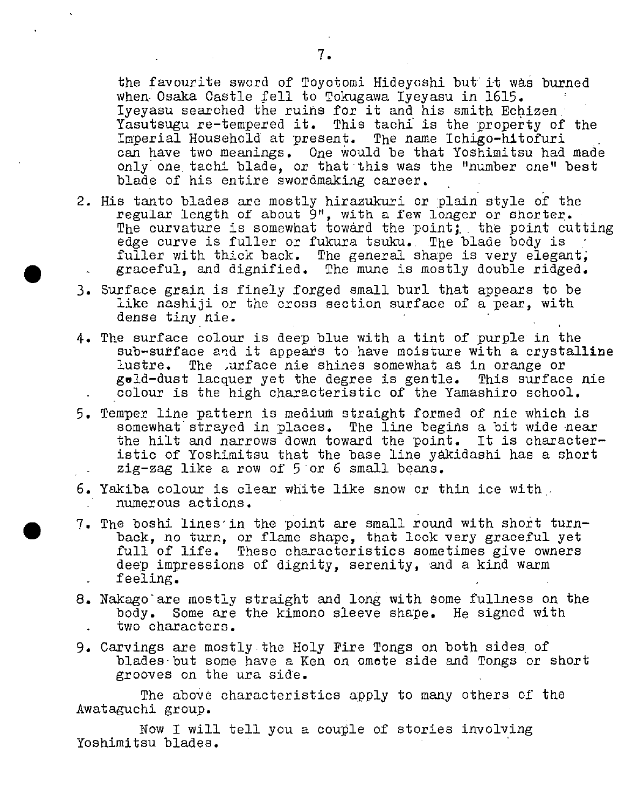the favourite sword of Toyotomi Hideyoshi but it was burned when. Osaka Castle fell to Tokugawa Iyeyasu in 1615. Iyeyasu searched the ruins for it and his smith Echizen: Yasutsugu re-tempered it. This tachi is the property of the Imperial Household at present. The name Ichigo-hitofuri can have two meanings. One would be that Yoshimitsu had made only one, tachi blade, or that'this was the "number one" best blade of his entire swordmaking career.

- 2. His tanto blades are mostly hirazukuri or plain style of the regular length of about 9", with a few longer or shorter. The curvature is somewhat toward the point; the point cutting edge curve is fuller or fukura tsuku.. The blade body is fuller with thick back. The general shape is very elegant, graceful, and dignified. The mune is mostly double ridged.
- 3. Surface grain is finely forged small burl that appears to be like nashiji or the cross section surface of a pear, with dense tiny nie.

 $\bullet$ 

- 4. The surface colour is deep blue with a tint of purple in the sub-surface and it appears to have moisture with a crystalline lustre. The urface nie shines somewhat as in orange or geld-dust lacquer yet the degree is gentle. This surface nie colour is the high characteristic of the Yamashiro school.
- 5. Temper line pattern is medium straight formed of nie which is somewhat'strayed in places. The line begins a bit wide near the hilt and narrows down toward the point. It is characteristic of Yoshimitsu that the base line yakidashi has a short zig-zag like a row of 5 or 6 small beans.
- 6. Yakiba colour is clear white like snow or thin ice with. numerous actions.
- . 7. The boshi lines'in the point are small round with short turnback, no turn, or flame shape, that look very graceful yet full of life. These characteristics sometimes give owners deep impressions of dignity, serenity, and a kind warm feeling. -
- 8. Nakago are mostly straight and long with some fullness on the body. Some are the kimono sleeve shape. He signed with two characters.
- 9. Carvings are mostly the Holy Fire Tongs on both sides of blades-but some have a Ken on omote side and Tongs or short grooves on the ura side.

The above characteristics apply to many others of the Awataguchi group.

Now I will tell you a couple of stories involving Yoshimitsu blades.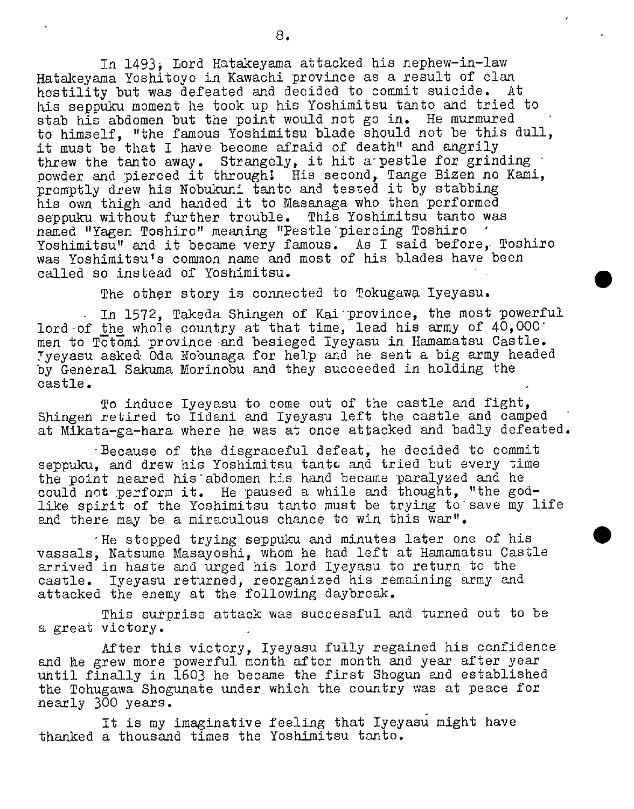In 1493i Lord Hatakeyama attacked his nephew-in-law Hatakeyama Yoshitoyo in Kawachi province as a result of elan hostility but was defeated and decided to commit suicide. At his seppuku moment he took up his Yoshimitsu tanto and tried to stab his abdomen but the point would not go in. He murmured to himself, "the famous Yoshimitsu blade should not be this dull, it must be that I have become afraid of death" and angrily threw the tanto away. Strangely, it hit a pestle for grinding powder and pierced it through! His second, Tange Bizen no Kami, promptly drew his Nobukuni tanto and tested it by stabbing his own thigh and handed it to Masanaga who then performed seppuku without further trouble. This Yoshimitsu tanto was named "Yagen Toshiro" meaning "Pestle piercing Toshiro Yoshimitsu" and it became very famous. As I said before, Toshiro was Yoshimitsu's common name and most of his blades have been called so instead of Yoshimitsu.

The other story is connected to Tokugawa Iyeyasu.

 $\bullet$ 

In 1572, Takeda Shingen of Kai'province, the most powerful lord-of the whole country at that time, lead his army of  $40,000$ men to Totomi province -and besieged Iyeyasu in Hamamatsu Castle. Tyeyasu asked Oda Nobunaga for help and he sent a big army headed by General Sakuma Morinobu and they succeeded in holding the castle.

To induce Iyeyasu to come out of the castle and fight, Shingen retired to Ildani and Iyeyasu left the castle and camped at Mikata-ga-hara where he was at once attacked and badly defeated.

Because of the disgraceful defeat; he decided to commit seppuku, and drew his Yoshimitsu tantc and tried but every time the point neared his abdomen his hand became paralyzed and he could not perform it. He paused a while and thought, "the godlike spirit of the Yoshimitsu tanto must be trying to save my life and there may be a miraculous chance to win this war".

'He stopped trying seppuku and minutes later one of his vassals, Natsume Masayoshi, whom he had left at Hamamatsu Castle arrived in haste and urged his lord Iyeyasu to return to the castle. Iyeyasu returned, reorganized his remaining army and attacked the enemy at the following daybreak.

This surprise attack was successful and turned out to be a great victory.

After this victory, Iyeyasu fully regained his confidence and he grew more powerful month after month and year after year until finally in 1603 he became the first Shogun and established the Tohugawa Shogunate under which the country was at peace for nearly 300 years.

It is my imaginative feeling that Iyeyasu might have thanked a thousand times the Yoshimitsu tanto.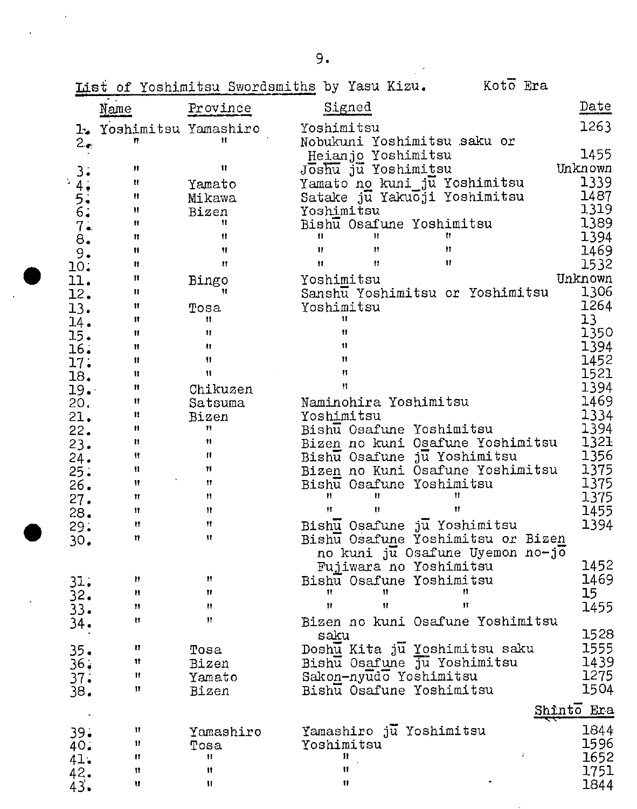|               |                         |                     | List of Yoshimitsu Swordsmiths by Yasu Kizu. | Koto Era                          |              |
|---------------|-------------------------|---------------------|----------------------------------------------|-----------------------------------|--------------|
|               | Name                    | Province            | Signed                                       |                                   | Date         |
|               | 1. Yoshimitsu Yamashiro |                     | Yoshimitsu                                   |                                   | 1263         |
| $2_{\bullet}$ | n                       | Ħ                   | Nobukuni Yoshimitsu saku or                  |                                   |              |
|               |                         |                     | Heianjo Yoshimitsu                           |                                   | 1455         |
| 3.            | Ħ                       | 11                  | Joshu ju Yoshimitsu                          |                                   | Unknown      |
| 4.1           | Ħ                       | Yamato              | Yamato no kuni ju Yoshimitsu                 |                                   | 1339         |
|               | Ħ                       | Mikawa              | Satake ju Yakuoji Yoshimitsu                 |                                   | 1487         |
|               | Ħ                       | Bizen               | Yoshimitsu                                   |                                   | 1319         |
| 5.5.7.7       | Ħ                       | 11                  | Bishu Osafune Yoshimitsu                     |                                   | 1389         |
| 8.            | 11                      | Ħ                   | n<br>Ħ                                       | 11                                | 1394         |
| 9.            | Ħ                       | Ħ                   | $\mathbf{H}$<br>Ħ                            | Ħ                                 | 1469         |
| 10.           | Ħ                       | Ħ                   | Ħ<br>n                                       | $\mathbf{H}$                      | 1532         |
| 11.           | π                       | Bingo               | Yoshimitsu                                   |                                   | Unknown      |
| 12.           | u                       | Ħ                   |                                              | Sanshu Yoshimitsu or Yoshimitsu   | 1306         |
| 13.           | Ħ                       | Tosa                | Yoshimitsu                                   |                                   | 1264         |
| 14.           | Ħ                       | 11                  | Ħ                                            |                                   | 13           |
| 15.           | 11                      | ₩<br>Ħ              | Ħ<br>11                                      |                                   | 1350<br>1394 |
| 16.           | Ħ<br>11                 | 11                  | Ħ                                            |                                   | 1452         |
| 17.           | 11                      | $\mathbf{H}$        | n                                            |                                   | 1521         |
| 18.           | 11                      |                     | 11                                           |                                   | 1394         |
| 19.<br>20.    | Ħ                       | Chikuzen<br>Satsuma | Naminohira Yoshimitsu                        |                                   | 1469         |
| 21.           | Ħ                       | Bizen               | Yoshimitsu                                   |                                   | 1334         |
| 22.           | 11                      | Ħ                   | Bishu Osafune Yoshimitsu                     |                                   | 1394         |
| 23.           | 11                      | Ħ                   |                                              | Bizen no kuni Osafune Yoshimitsu  | 1321         |
| 24.           | Ħ                       | n                   | Bishu Osafune ju Yoshimitsu                  |                                   | 1356         |
| 25.           | Ħ                       | Ħ                   |                                              | Bizen no Kuni Osafune Yoshimitsu  | 1375         |
| 26.           | 11                      | Ħ                   | Bishu Osafune Yoshimitsu                     |                                   | 1375         |
| 27.           | Ħ                       | ₩                   | u<br>Ħ                                       | Ħ                                 | 1375         |
| 28.           | Ħ                       | $\mathbf{H}$        | Ħ<br>Ħ                                       | Ħ                                 | 1455         |
| 29:           | Ħ                       | Ħ                   | Bishu Osafune ju Yoshimitsu                  |                                   | 1394         |
| 30.           | 11                      | Ħ                   |                                              | Bishu Osafune Yoshimitsu or Bizen |              |
|               |                         |                     |                                              | no kuni ju Osafune Uyemon no-jo   |              |
|               |                         |                     | Fujiwara no Yoshimitsu                       |                                   | 1452         |
| 31.           | Н                       | п                   | Bishu Osafune Yoshimitsu                     |                                   | 1469         |
| 32.           | Ħ                       | Ħ                   | Ħ<br>Ħ                                       | ₩                                 | 15           |
| 33.           | Ħ                       | n                   | $^{\dagger}$<br>$\mathbf{u}$                 | 11                                | 1455         |
| 34.           | Ħ                       | 11                  |                                              | Bizen no kuni Osafune Yoshimitsu  |              |
|               |                         |                     | saku                                         |                                   | 1528         |
| $35 -$        | n                       | Tosa                | Doshu Kita ju Yoshimitsu saku                |                                   | 1555         |
| 36.           | Ħ<br>Ħ                  | Bizen               | Bishu Osafune ju Yoshimitsu                  |                                   | 1439<br>1275 |
| 37.           | 11                      | Yamato              | Sakon-nyudo Yoshimitsu                       |                                   | 1504         |
| 38.           |                         | Bizen               | Bishu Osafune Yoshimitsu                     |                                   |              |
|               |                         |                     |                                              |                                   | Shinto Era   |
| 39.           | Ħ                       | Yamashiro           | Yamashiro ju Yoshimitsu                      |                                   | 1844         |
| 40.           | 11                      | Tosa                | Yoshimitsu                                   |                                   | 1596         |
| 41.           | и                       | Ħ                   | Ħ                                            |                                   | 1652         |
| 42.           | Ħ                       | 11                  | Ħ                                            |                                   | 1751         |
| 43.           | u                       | Ħ                   | Ħ                                            |                                   | 1844         |

 $\sim$ 

 $\mathcal{L}^{\text{max}}_{\text{max}}$ 

 $\hat{\mathcal{L}}$ 

 $\ddot{\phantom{0}}$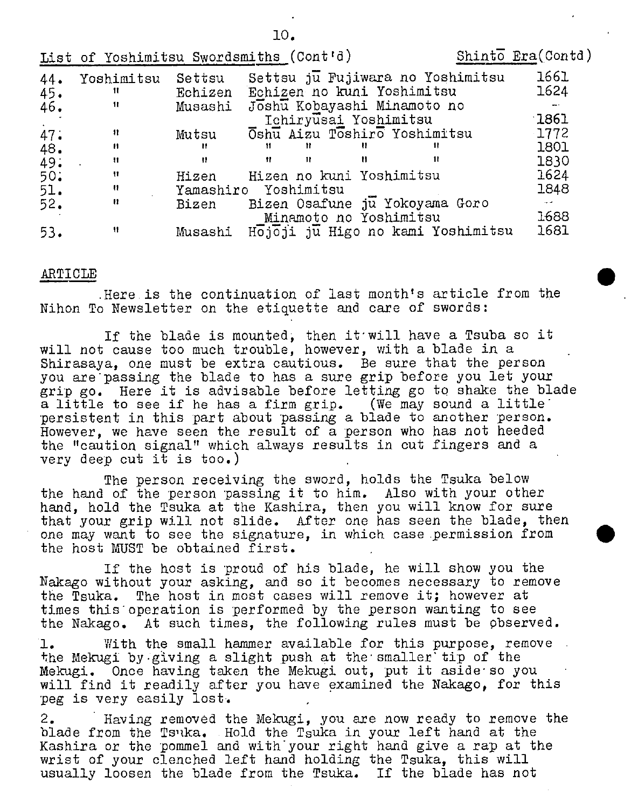|     | List of Yoshimitsu Swordsmiths (Cont'd) |         |                          |   |                                     | Shinto $Era(Contd)$  |
|-----|-----------------------------------------|---------|--------------------------|---|-------------------------------------|----------------------|
| 44. | Yoshimitsu                              | Settsu  |                          |   | Settsu ju Fujiwara no Yoshimitsu    | 1661                 |
| 45. | $\mathbf{H}$                            | Echizen |                          |   | Echizen no kuni Yoshimitsu          | 1624                 |
| 46. | $\mathbf{u}$                            |         |                          |   | Musashi Joshu Kobayashi Minamoto no |                      |
|     |                                         |         |                          |   | Ichiryusai Yoshimitsu               | $\lceil 1861 \rceil$ |
| 47. | n                                       | Mutsu   |                          |   | Oshu Aizu Toshiro Yoshimitsu        | $-1772$              |
| 48. | Ħ                                       | н       | -11                      |   |                                     | 1801                 |
| 49. | Ħ                                       | H.      | -99.<br>Ħ                | Ħ |                                     | 1830                 |
| 50. | Ħ                                       | Hizen   | Hizen no kuni Yoshimitsu |   |                                     | 1624                 |
| 51. | Ħ                                       |         | Yamashiro Yoshimitsu     |   |                                     | 1848                 |
| 52. | 11                                      | Bizen   |                          |   | Bizen Osafune ju Yokoyama Goro      | $\sim$ $-$           |
|     |                                         |         |                          |   | Minamoto no Yoshimitsu              | 1688                 |
| 53. | Ħ                                       | Musashi |                          |   | Hojoji ju Higo no kami Yoshimitsu   | 1681                 |

## ARTICLE

.Here.is the continuation of last month's article from the Nihon To Newsletter on the etiquette and care of swords:

If the blade is mounted; then itwill have a Tsuba so it will not cause too much trouble, however, with a blade in a Shirasaya, one must be extra cautious. Be sure that the person you are passing the blade to has a sure grip before you let your grip go. Here it is advisable before letting go to shake the blade<br>a little to see if he has a firm grip. (We may sound a little'  $\bar{a}$  little to see if he has a firm grip. persistent in this part about passing a blade to another person. However, we have seen the result of a person who has not heeded the "caution signal" which always results in cut fingers and a very deep out it is too.)

The person receiving the sword, holds the Tsuka below the hand of the person passing it to him. Also with your other hand, hold the Tsuka at the Kashira, then you will know for sure that your grip will not slide. After one has seen the blade, then one may want to see the signature, in which case permission from the host MUST be obtained first.

If the host is proud of his blade, he will show you the Nakago without your asking, and so it becomes necessary to remove the Tsuka. The host in most cases will remove it; however at times this operation is performed by the person wanting to see the Nakago. At such times, the following rules must be pbserved.

1. With the small hammer available for this purpose, remove the Mekugi by giving a slight push at the smaller tip of the Mekugi. Once having taken the Mekugi out, put it aside so you will find it readily after you have examined the Nakago, for this peg is very easily lost.

2. Having removed the Mekugi, you are now ready to remove the blade from the Ts'ika. Hold the Tsuka in your left hand at the Kashira or the pommel and withyour right hand give a rap at the wrist of your clenched left hand holding the Tsuka, this will usually loosen the blade from the Tsuka. If the blade has not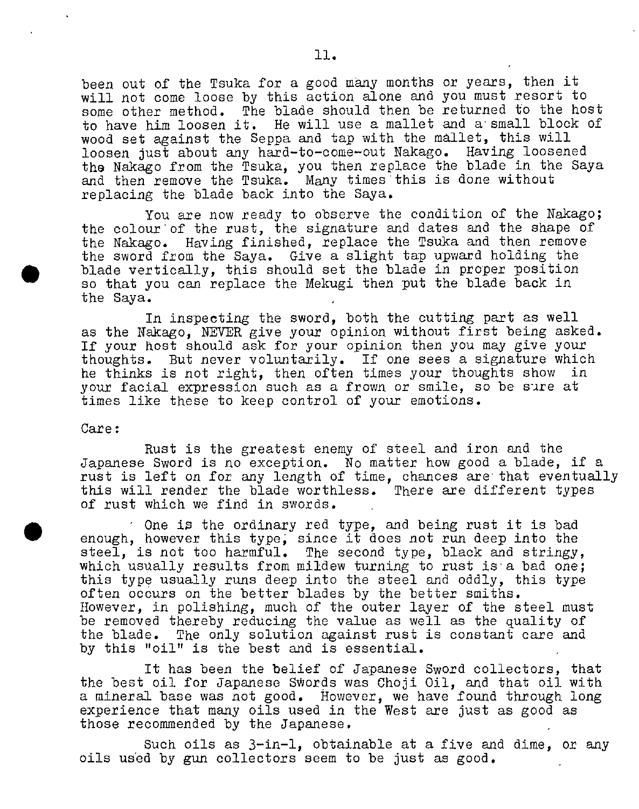been out of the Tsuka for a good many months or years, then it will not come loose by this action alone and you must resort to some other method. The blade should then be returned to the host to have him loosen it. He will use a mallet and a small block of wood set against the Seppa and tap with the mallet, this will loosen just about any hard-to-come-out Nakago. Having loosened the Nakago from the Tsuka, you then replace the blade in the Saya and then remove the Tsuka. Many times this is done without replacing the blade back into the Saya.

You axe now ready to observe the condition of the Nakago; the colour of the rust, the signature and dates and the shape of the Nakago. Having finished, replace the Tsuka and then remove the sword from the Saya. Give a slight tap upward holding the blade vertically, this should set the blade in proper position so that you can replace the Mekugi then put the blade back in the Saya.

In inspecting the sword, both the cutting part as well as the Nakago, NEVER give your opinion without first being asked. If your host should ask for your opinion then you may give your thoughts. But never voluntarily. If one sees a signature which he thinks is not right, then often times your thoughts show in your facial expression such as a frown or smile, so be sure at times like these to keep control of your emotions.

#### Care:

 $\bullet$ 

Rust is the greatest enemy of steel and iron and the Japanese Sword is no exception. No matter how good a blade, if a rust is left on for any length of time, chances are that eventually this will render the blade worthless. There are different types of rust which we find in swords.

One is the ordinary red type, and being rust it is bad enough, however this type; since it does not run deep into the steel, is not too harmful. The second type, black and stringy, which usually results from mildew turning to rust is a bad one; this type usually runs deep into the steel and oddly, this type often occurs on the better blades by the better smiths. However, in polishing, much of the outer layer of the steel must be removed thereby reducing the value as well as the quality of the blade. The only solution against rust is constant care and by this "oil" is the best and is essential.

It has been the belief of Japanese Sword collectors, that the best oil for Japanese Swords was Choji Oil, and that oil with a mineral base was not good. However, we have found through long experience that many oils used in the West are just as good as those recommended by the Japanese.

Such oils as 3—in-1, obtainable at a five and dime, or any oils used by gun collectors seem to be just as good.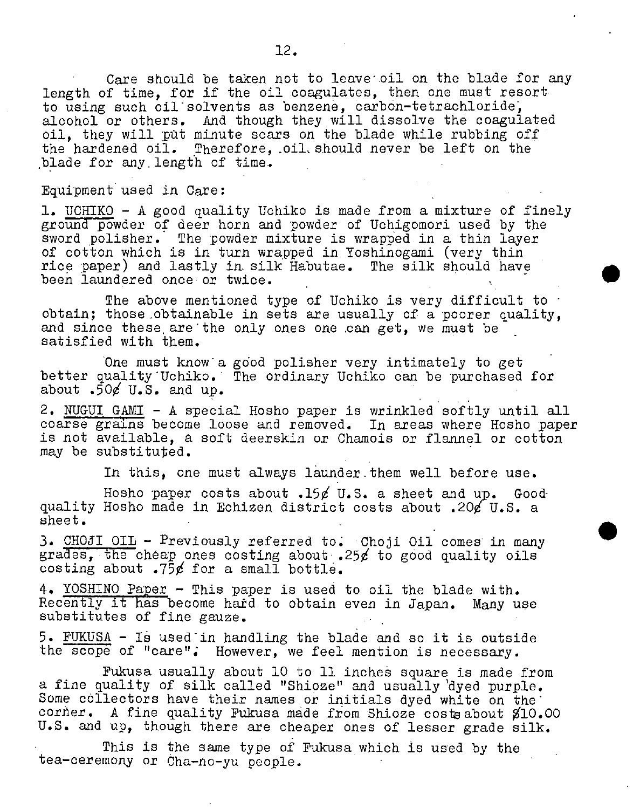Care should be taken not to leave' oil on the blade for any length of time, for if the oil coagulates, then one must resort. to using such oil solvents as benzene, carbon-tetrachloride, alcohol or others. And though they will dissolve the coagulated oil, they will put minute scars on the blade while rubbing off the hardened oil. Therefore, oil, should never be left on the blade for any.length of time..

#### Equipment used in Care:

1. UCHIKO - A good quality Uchiko is made from a mixture of finely ground powder of deer horn and powder of Uchigomori used by the sword polisher. The powder mixture is wrapped in a thin layer of cotton which is in turn wrapped in Yoshinogami (very thin rice paper) and lastly in silk Habutae. The silk should have been laundered once or twice.

The above mentioned type of Uchiko is very difficult to  $\cdot$ obtain; those obtainable in sets are usually of a poorer quality, and since these are the only ones one can get, we must be satisfied with them.

One must know a good polisher very intimately to get better quality Uchiko. The ordinary Uchiko can be purchased for about  $.50/0.5$ . and up.

2. NUGUI GAMI - A special Hosho paper is wrinkled softly until all coarse grains become loose and removed. In areas where Hosho paper is not available, a soft deerskin or Chamois or flannel or cotton may be substituted.

In this, one must always launder them well before use.

Hosho paper costs about .150 U.S. a sheet and up. Goodquality Hosho made in Echizen district costs about .20¢ U.S. a sheet.

3. CHOJI OIL - Previously referred to. Choji Oil comes in many grades, the cheap ones costing about .25 $\ell$  to good quality oils costing about .75 $\not\in$  for a small bottle.

4. YOSHINO Paper - This paper is used to oil the blade with. Recently it has become hard to obtain even in Japan. Many use substitutes of fine gauze.

5. PUKUSA - IS usedin handling the blade and so it is outside the scope of "care"; However, we feel mention is necessary.

Fukusa usually about 10 to 11 inches square is made from a fine quality of silk called "Shioze" and usually dyed purple. Some collectors have their names or initials dyed white on the corner. A fine quality Fukusa made from Shioze cost about  $$10.00$ U.S. and up, though there are cheaper ones of lesser grade silk.

This is the same type of Pukusa which is used by the tea-ceremony or Cha-no-yu people.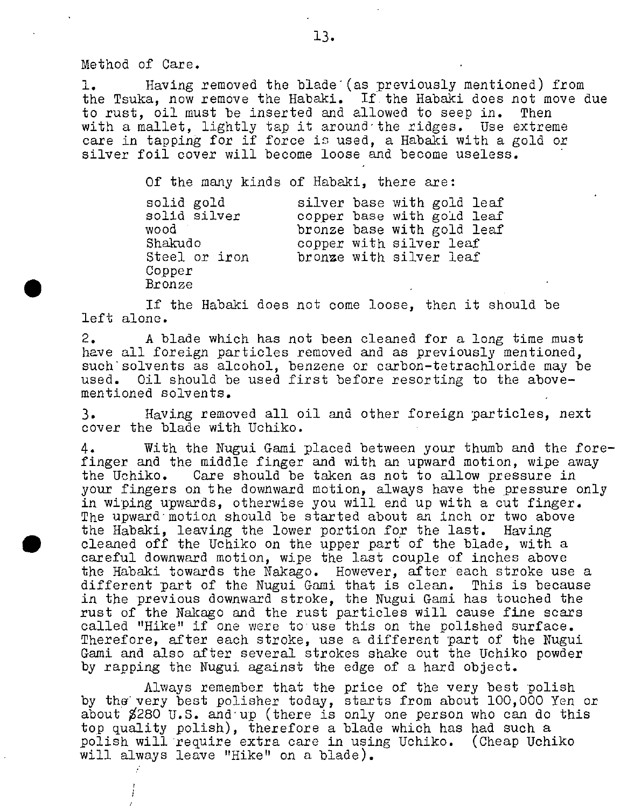Method of Care.

1. Having removed the blade (as previously mentioned) from the Tsuka, now remove the Habaki. If the Habaki does not move due to rust, oil must be inserted and allowed to seep in. Then with a mallet, lightly tap it around the ridges. Use extreme care in tapping for if force is used, a Habaki with a gold or silver foil cover will become loose and become useless.

Of the many kinds of Habaki, there are:

| solid gold    |  | silver base with gold leaf |
|---------------|--|----------------------------|
| solid silver  |  | copper base with gold leaf |
| wood          |  | bronze base with gold leaf |
| Shakudo       |  | copper with silver leaf    |
| Steel or iron |  | bronze with silver leaf    |
| Copper        |  |                            |
| Bronze        |  |                            |

If the Habaki does not come loose, then it should be left alone.

2. A blade which has not been cleaned for a long time must have all foreign particles removed and as previously mentioned, such solvents as alcohol, benzene or carbon-tetrachloride may be used. Oil should be used first before resorting to the abovementioned solvents.

3. Having removed all oil and other foreign particles, next cover the blade with Uchiko.

4. With the Nugui Gami placed between your thumb and the forefinger and the middle finger and with an upward motion, wipe away the Uchiko. Care should be taken as not to allow pressure in your fingers on the downward motion, always have the pressure only in wiping upwards, otherwise you will end up with a cut finger. The upward motion should be started about an inch or two above the Habaki, leaving the lower portion for the last. Having cleaned off the Uchiko on the upper part of the blade, with a careful downward motion, wipe the last couple of inches above the Habaki towards the Nakago. However, after each stroke use a different part of the Nugui Gami that is clean. This is because in the previous downward stroke, the Nugui Gami has touched the rust of the Nakago and the rust particles will cause fine scars called "Hike" if one were to use this on the polished surface. Therefore, after each stroke, use a different part of the Nugui Gami and also after several strokes shake out the Uchiko powder by rapping the Nugui against the edge of a hard object.

Always remember that the price of the very best polish by the very best polisher today, starts from about 100,000 Yen or about  $8280$  U.S. and up (there is only one person who can do this top quality polish), therefore a blade which has had such a polish will require extra care in using Uchiko. (Cheap Uchiko will always leave "Hike" on a blade).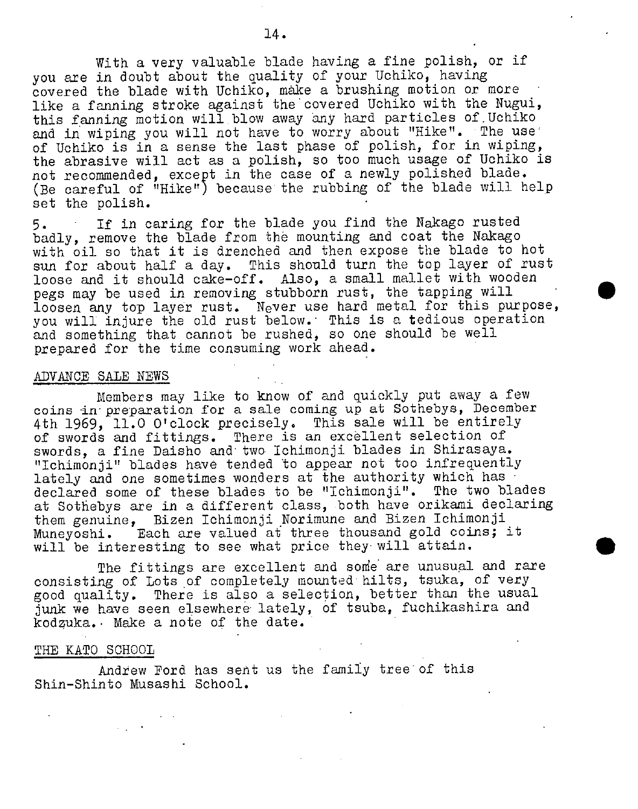With a very valuable blade having a fine polish, or if you are in doubt about the quality of your Uchiko, having covered the blade with Uchiko, make a brushing motion or more like a fanning stroke against the covered Uchiko with the Nugui, this fanning motion will blow away any hard particles of Uchiko and in wiping you will not have to worry about "Hike". The use of Uchiko is in a sense the last phase of polish, for in wiping, the abrasive will act as a polish, so too much usage of Uchiko is not recommended, except in the case of a newly polished blade. (Be careful of "Hike") because the rubbing of the blade will help set the polish.

5. If in caring for the blade you find the Nakago rusted badly, remove the blade from the mounting and coat the Nakago with oil so that it is drenched and then expose the blade to hot sun for about half a day. This should turn the top layer of rust loose and it should cake-off. Also, a small mallet with wooden pegs may be used in removing stubborn rust, the tapping will loosen any top layer rust. Never use hard metal for this purpose, you will injure the old rust below. This is a tedious operation and something that cannot be rushed, so one should be well prepared for the time consuming work ahead.

## ADVANCE SALE NEWS

Members may like to know of and quickly put away a few coins in preparation for a sale coming up at Sothebys, December 4th 1969, 11.0 O'clock precisely. This sale will be entirely of swords and fittings. There is an excellent selection of swords, a fine Daisho and two Ichimonji blades in Shirasaya. "Ichimonji" blades have tended to appear not too infrequently lately and one sometimes wonders at the authority which has declared some of these blades to be "Ichimonji". The two blades at Sothebys are in a different class, both have orikami declaring them genuine, Bizen Ichimonji Norimune and Bizen Ichimonji Muneyoshi. Each are valued at three thousand gold coins; it will be interesting to see what price they will attain.

The fittings are excellent and some are unusual and rare consisting of Lots of completely mounted hilts, tsuka, of very good quality. There is also a selection, better than the usual junk we have seen elsewhere lately, of tsuba, fuchikashira and kodzuka. Make a note of the date.

#### THE KATO SCHOOL

Andrew Ford has sent us the family tree of this Shin-Shinto Musashi School.

 $\bullet$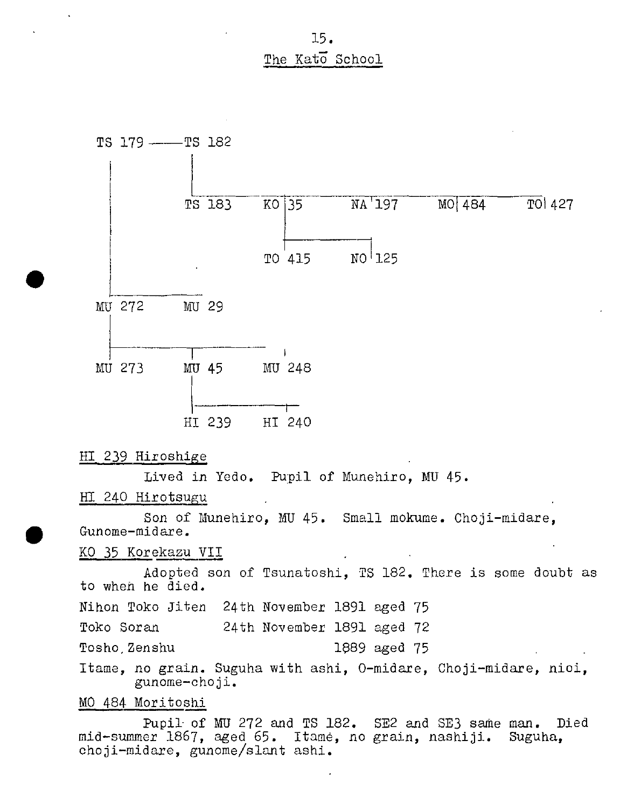15. The Kato School



HI 239 Hiroshige

 $\bullet$ 

Lived in Yedo. Pupil of Munehiro, MU 45.

HI 240 Hirotsugu

Son of Munehiro, MU 45. Small mokume. Choji-midare, Gunome-midare.

KO 35 Korekazu VII

Adopted son of Tsunatoshi, TS 182. There is some doubt as to when he died.

Nihon Toko Jiten 24th November 1891 aged 75

Toko Soran 24th November 1891 aged 72

Tosho.Zenshu 1689 aged 75

Itame, no grain. Suguha with ashi, O-midare, Choji-midare, nici, gunome-cho ji.

MO 484 Moritoshi

Pupil of MU 272 and TS 182. SE2 and SE3 same man. Died mid-summer 1867, aged 65. Itarne, no grain, nashiji. Suguha, choji-midare, gunome/slant ashi.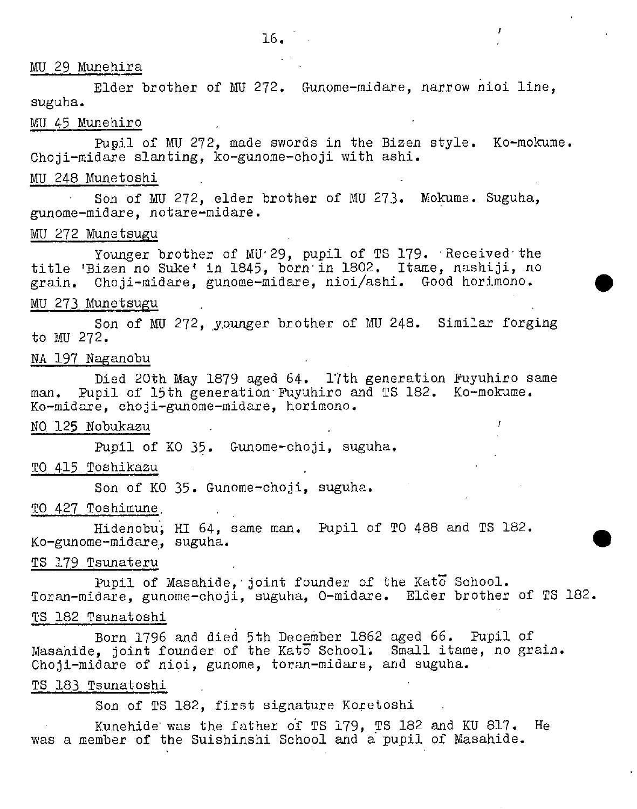# MU 29 Munehira

Elder brother of MU 272. Gunome-midare, narrow nioi line, suguha.

 $\mathbf{r}$ 

# MU45 Munehiro

Pupil of MU 272, made swords in the Bizen style. Ko-mokume. Choji-midare slanting, ko-gunome-choji with ashi.

# MU 248 Munetoshi

Son of MU 272, elder brother of MU 273. Mokume. Suguha, gunome-midare, notare-midare.

# MU 272 Munetsugu

Younger brother of MU<sup>29</sup>, pupil of TS 179. Received the title 'Bizen no Suke' in 1845, born in 1802. Itame, nashiji, no grain. Choji-midare, gunome-midare, nioi/ashi. Good horimono.

## MU 273 Munetsugu

Son of MU 272, younger brother of MU 248. Similar forging to MU 272.

## NA 197 Naganobu

Died 20th May 1879 aged 64. 17th generation Fuyuhiro same man. Pupil of 15th generation Fuyuhiro and TS 182. Ko-mokume. Ko-midare, choji-gunome-midare, horimono.

NO 125 Nobukazu

Pupil of KO 35. Gunome-choji, suguha.

TO 415 Toshikazu

Son of KO 35. Gunome-choji, suguha.

#### TO 427 Toshimune,

Hidenobu; HI 64, same man. Pupil of TO 488 and TS 182.<br>Ko-gunome-midare, suguha.

#### TS 179 Tsunateru

Pupil of Masahide, joint founder of the Kato School. Toran-midare, gunome-choji, suguha, 0-midare. Elder brother of TS 182.

# TS 182 Tsunatoshi

Born 1796 and died 5th December 1862 aged 66. Pupil of Masahide, joint founder of the Kato School. Small itame, no grain. Ohoji-midare of nioi, gunome, toran-midare, and suguha.

# TB 183 Tsunatoshi

Son of TS 182, first signature Koretoshi

Kunehide was the father of TB 179, TS 182 and KU 817. He was a member of the Suishinshi School and a pupil of Masahide.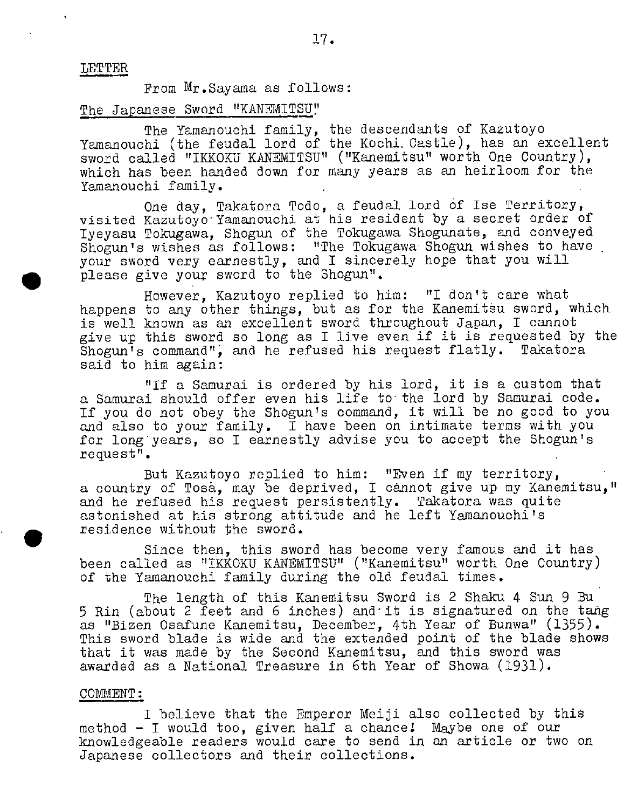#### LETTER

From Mr.Sayama as follows:

#### The Japanese Sword "KANEMITSU"

The Yamanouchi family, the descendants of Kazutoyo Yamanouchi (the feudal lord of the Kochi. Castle), has an excellent sword called "IKKOKU KANEMITSU" ("Kanemitsu" worth One Country), which has been handed down for many years as an heirloom for the Yamanouchi family.

One day, Takatora Todo, a feudal lord of Ise Territory, visited Kazutoyo Yamanouchi at his resident by a secret order of Iyeyasu Tokugawa, Shogun of the Tokugawa Shogunate, and conveyed Shogun's wishes as follows: "The Tokugawa Shogun wishes to have your sword very earnestly, and I sincerely hope that you will please give your sword to the Shogun".

However, Kazutoyo replied to him: "I don't care what happens to any other things, but as for the Kanemitsu sword, which is well known as an excellent sword throughout Japan, I cannot give up this sword so long as I live even if it is requested by the Shogun's command", and he refused his request flatly. Takatora  $S$ hogun<sup>i</sup>s command", and he refused his request flatly. said to him again:

"If a Samurai is ordered by his lord, it is a custom that a Samurai should offer even his life to the lord by Samurai code. If you do not obey the Shogun's command, it will be no good to you and also to your family. I have been on intimate terms with you for long years, so I earnestly advise you to accept the Shogun's request".

But Kazutoyo replied to him: "Even if my territory, a country of Tosà, may be deprived, I cannot give up my Kanemitsu," and he refused his request persistently. Takatora was quite astonished at his strong attitude and he left Yamanouchi's • residence without the sword.

Since then, this sword has become very famous and it has been called as "IKKOKU KANEMITSU" ("Kanemitsu" worth One Country) of the Yamanouchi family during the old feudal times.

The length of this Kanemitsu Sword is 2 Shaku 4 Sun 9 Bu 5 Rin (about 2 feet and 6 inches) and it is signatured on the tang as "Bizen Osafune Kanemitsu, December, 4th Year of Bunwa" (1355). This sword blade is wide and the extended point of the blade shows that it was made by the Second Kanemitsu, and this sword was awarded as a National Treasure in 6th Year of Showa (1931).

#### COMMENT:

I believe that the Emperor Meiji also collected by this method - I would too, given half a chancel Maybe one of our knowledgeable readers would care to send in an article or two on Japanese collectors and their collections.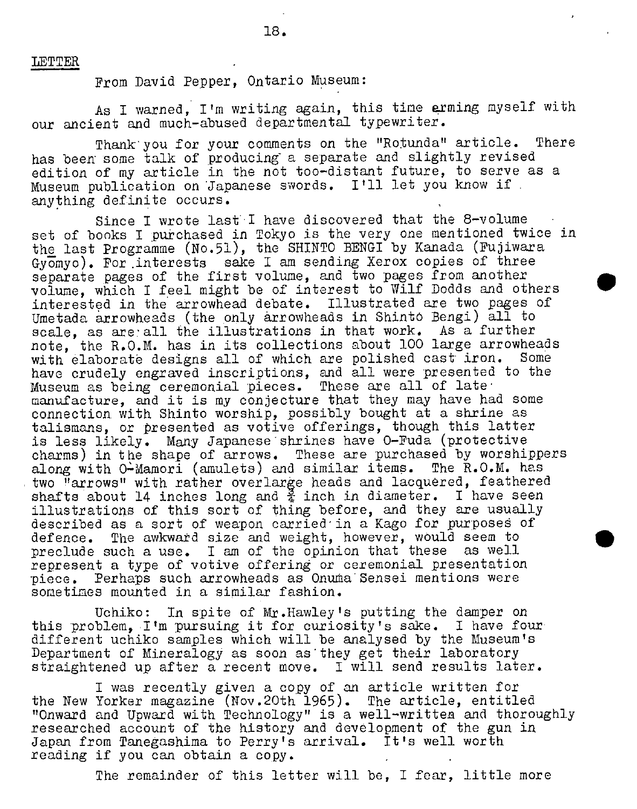#### LETTER

From David Pepper, Ontario Museum:

As I warned, I'm writing again, this time arming myself with our ancient and much-abused departmental typewriter.

Thank you for your comments on the "Rotunda" article. There has been some talk of producing a separate and slightly revised edition of my article in the not too-distant future, to serve as a Museum publication on Japanese swords. Itll let you know if anything definite occurs.

Since I wrote last' have discovered that the 8-volume set of books I purchased in Tokyo is the very one mentioned twice in the last Programme (No.51), the SHINTO BENGI by Kanada (Fujiwara Gyomyo). For .interests sake I am sending Xerox copies of three separate pages of the first volume, and two pages from another volume, which I feel might be of interest to Wilf Dodds and others interested in the arrowhead debate. Illustrated are two pages of Umetada arrowheads (the only arrowheads in Shinto Bengi) all to scale, as are all the illustrations in that work. As a further note, the R.O.M. has in its collections about 100 large arrowheads<br>with elaborate designs all of which are polished cast iron. Some with elaborate designs all of which are polished cast iron. have crudely engraved inscriptions, and all were presented to the Museum as being ceremonial pieces. These are all of late manufacture, and it is my conjecture that they may have had some connection with Shinto worship, possibly bought at a shrine as talismans, or presented as votive offerings, though this latter is less likely. Many Japanese shrines have O-Fuda (protective charms) in the shape of arrows. These are purchased by worshippers along with O-Mamori (amulets) and similar items. The R.O.M. has two "arrows" with rather overlarge heads and lacquered, feathered shafts about 14 inches long and  $\frac{3}{4}$  inch in diameter. I have seen illustrations of this sort of thing before, and they are usually described as a sort of weapon carried in a Kago for purposes of defence. The awkward size and weight, however, would seem to preclude such a use. I am of the opinion that these as well represent a type of votive offering or ceremonial presentation piece. Perhaps such arrowheads as Onuma Sensei mentions were sometimes mounted in a similar fashion.

Uchikc: In spite of Mr.Hawley's putting the damper on this problem, I'm pursuing it for curiosity's sake. I have four different uchikc samples which will be analysed by the Museum's Department of Mineralogy as soon as they get their laboratory straightened up after a recent move. I will send results later.

I was recently given a copy of an article written for the New Yorker magazine (Nov.20th 1965). The article, entitled "Onward and Upward with Technology" is a well-written and thoroughly researched account of the history and development of the gun in Japan from Tanegashima to Perry's arrival. It's well worth reading if you can obtain a copy.

The remainder of this letter will be, I fear, little more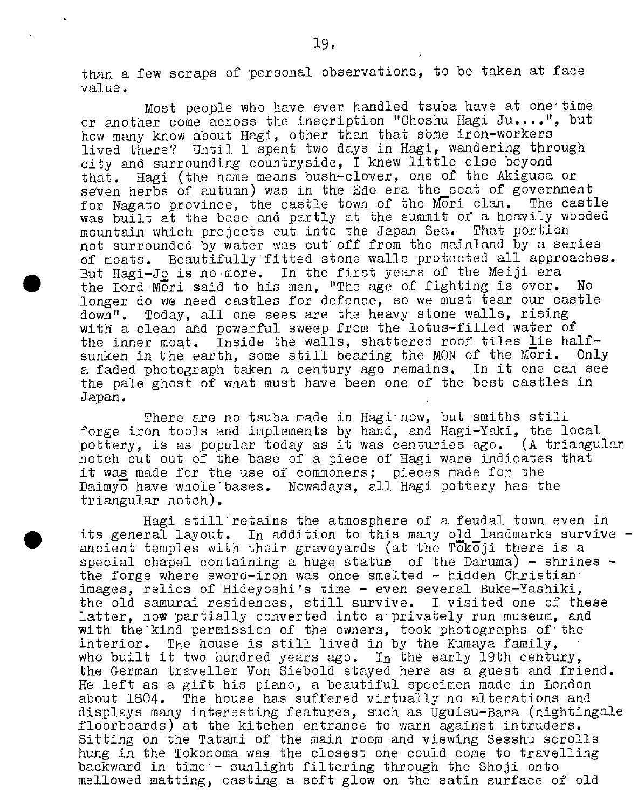than a few scraps of personal observations, to be taken at face value.

Most people who have ever handled tsuba have at one time or another come across the inscription "Choshu Hagi Ju....", but how many know about Hagi, other than that some iron-workers lived there? Until I spent two days in Hagi, wandering through city and surrounding countryside, I knew little else beyond that. Hagi (the name means bush-clover, one of the Akigusa or seven herbs of autumn) was in the Edo era the seat of government for Nagato province, the castle town of the Mori clan. The castle was built at the base and partly at the summit of a heavily wooded mountain which projects out into the Japan Sea. That portion not surrounded by water was out off from the mainland by a series of moats. Beautifully fitted stone walls protected all approaches. . But Hagi-Jo is no more. In the first years of the Meiji era the Lord Mori said to his men, "The age of fighting is over. No longer do we need castles for defence, so we must tear our castle down". Today, all one sees are the heavy stone walls, rising with a clean and powerful sweep from the lotus-filled water of the inner moat. Inside the walls, shattered roof tiles lie half-<br>sunken in the earth, some still bearing the MON of the Mori. Only sunken in the earth, some still bearing the MON of the Mori. a faded photograph taken a century ago remains. In it one can see the pale ghost of what must have been one of the best castles in Japan.

There are no tsuba made in Hagi now, but smiths still forge iron tools and implements by hand, and Hagi-Yaki, the local pottery, is as popular today as it was centuries ago. (A triangular notch cut out of the base of a piece of Hagi ware indicates that it was made for the use of commoners; pieces made for the Daimyo have whole bases. Nowadays, all Hagi pottery has the triangular notch).

Hagi still retains the atmosphere of a feudal town even in its general layout. In addition to this many old landmarks survive  $$ ancient temples with their graveyards (at the Tokoji there is a special chapel containing a huge statue of the Daruma) - shrines  $$ the forge where sword-iron was once smelted - hidden dhristian images, relics of Hideyoshi's time - even several Buke-Yashiki, the old samurai residences, still survive. I visited one of these latter, now partially converted into a privately run museum, and with the kind permission of the owners, took photographs of the interior. The house is still lived in by the Kumaya family, who built it two hundred years ago. In the early 19th century, the German traveller Von Siebold stayed here as a guest and friend. He left as a gift his piano, a beautiful specimen made in London about 1804. The house has suffered virtually no alterations and displays many interesting features, such as Uguisu-Bara (nightingale floorboards) at the kitchen entrance to warn against intruders. Sitting on the Tatami of the main room and viewing Sesshu scrolls hung in the Tokonoma was the closest one could come to travelling backward in time'- sunlight filtering through the Shoji onto mellowed matting, casting a soft glow on the satin surface of old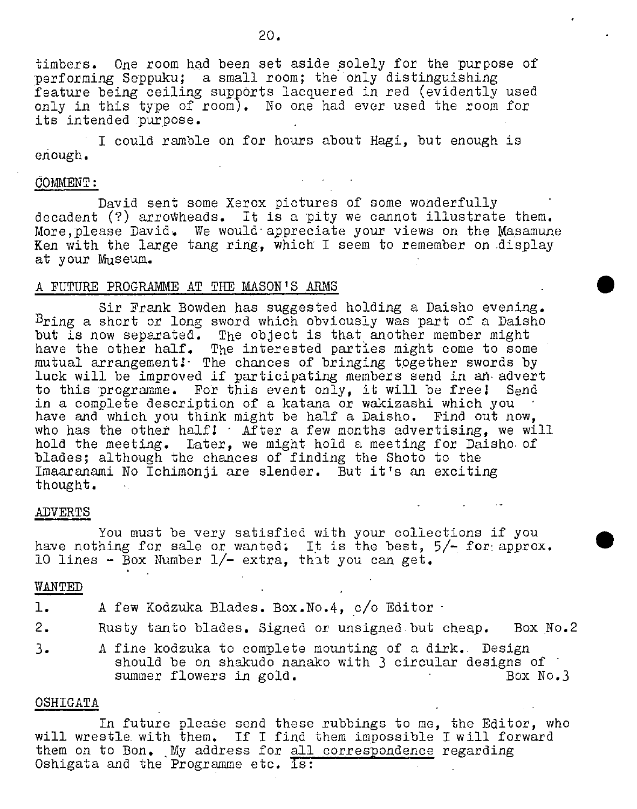timbers. One room had been set aside solely for the purpose of performing Seppuku; a small room; the only distinguishing feature being ceiling supports lacquered in red (evidently used only in this type of room). No one had ever used the room for its intended purpose.

I could ramble on for hours about Hagi, but enough is enough.

## COMMENT:

David sent some Xerox pictures of some wonderfully decadent (?) arrowheads. It is a pity we cannot illustrate them. More, please David. We would appreciate your views on the Masamune Ken with the large tang ring, which I seem to remember on display at your Museum.

#### A FUTURE PROGRAMME AT THE MASON'S ARMS

Sir Prank Bowden has suggested holding a Daisho evening. Bring a short or long sword which obviously was part of a Daisho but is now separated. The object is that another member might have the other half. The interested parties might come to some mutual arrangement $\mathbf{l}\cdot$  The chances of bringing together swords by luck will be improved if participating members send in an advert to this programme. For this event only, it will be freel Send in a complete description of a katana or wakizashi which you have and which you think might be half a Daisho. Find out now, who has the other half!  $\cdot$  After a few months advertising, we will hold the meeting. Later, we might hold a meeting for Daisho of blades; although the chances of finding the Shoto to the Imaaranami No Ichimonji are slender. But it's an exciting thought.

#### **ADVERTS**

You must be very satisfied with your collections if you have nothing for sale or wanted. It is the best,  $5/-$  for approx. 10 lines - Box Number 1/— extra, that you can get.

#### WANTED

| ı. | A few Kodzuka Blades. Box. No. 4, c/o Editor .                                                                                                         |
|----|--------------------------------------------------------------------------------------------------------------------------------------------------------|
| 2. | Rusty tanto blades. Signed or unsigned but cheap.<br>Box No.2                                                                                          |
| 3. | A fine kodzuka to complete mounting of a dirk. Design<br>should be on shakudo nanako with 3 circular designs of<br>summer flowers in gold.<br>Box No.3 |

#### OSHIGATA

In future please send these rubbings to me, the Editor, who will wrestle with them. If I find them impossible I will forward them on to Bon. My address for all correspondence regarding Oshigata and the Programme etc. is: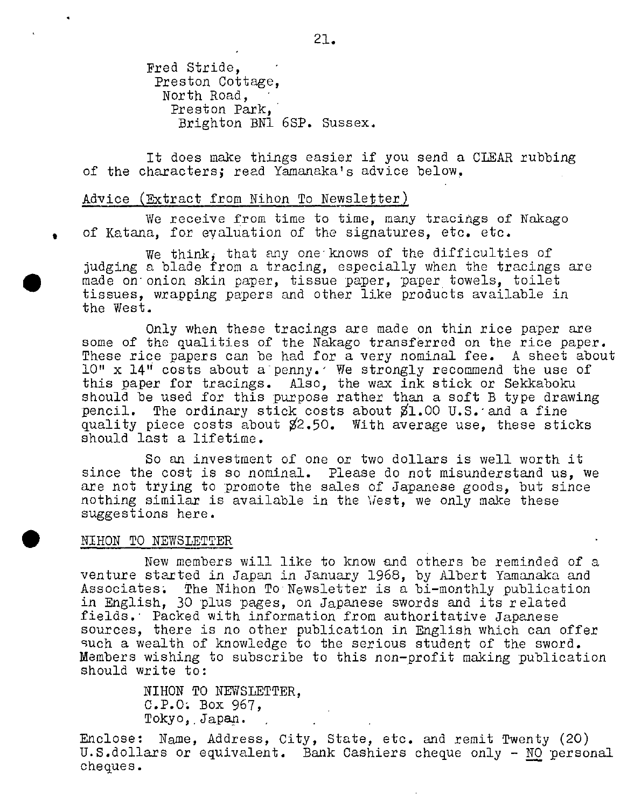Fred Stride, Preston Cottage, North Road, Preston Park, Brighton BN1 6SP. Sussex.

It does make things easier if you send a CLEAR rubbing of the characters; read Yamanaka's advice below.

## Advice (Extract from Nihon To Newsletter)

We receive from time to time, many tracings of Nakago of Katana, for eyaluation of the signatures, etc. etc.

We think, that any one knows of the difficulties of judging a blade from a tracing, especially when the tracings are made on onion skin paper, tissue paper, paper towels, toilet tissues, wrapping papers and other like products available in the West.

Only when these tracings are made on thin rice paper are some of the qualities of the Nakago transferred on the rice paper. These rice papers can be had for a very nominal fee. A sheet about 10" x 14" costs about a penny.' We strongly recommend the use of this paper for tracings. Also, the wax ink stick or Sekkaboku should be used for this purpose rather than a soft B type drawing pencil. The ordinary stick costs about  $1.00$  U.S. and a fine quality piece costs about %2.50. With average use, these sticks should last a lifetime.

So an investment of one or two dollars is well worth it since the cost is so nominal. Please do not misunderstand us, we are not trying to promote the sales of Japanese goods, but since nothing similar is available in the Vest, we only make these suggestions here.

## • NIHON TO NEWSIJETTER

New members will like to know and others be reminded of a venture started in Japan in January 1968, by Albert Yamanaka and Associates; The Nihon To Newsletter is a bi-monthly publication in English, 30 plus pages, on Japanese swords and its related fields. Packed with information from authoritative Japanese sources, there is no other publication in English which can offer such a wealth of knowledge to the serious student of the sword. Members wishing to subscribe to this non-profit making publication should write to:

> NIHON TO NEWSLETTER, C.P.O; Box 967, Tokyo, Japan.

Enclose: Name, Address, City, State, etc. and remit Twenty (20) U.S.dollars or equivalent. Bank Cashiers cheque only - NO personal cheques.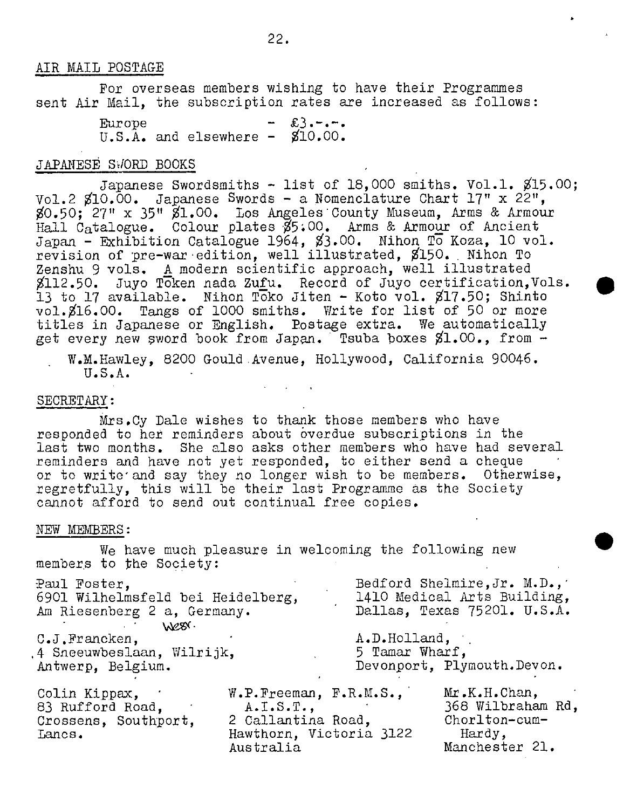#### AIR MAIL POSTAGE

For overseas members wishing to have their Programmes sent Air Mail, the subscription rates are increased as follows:

> Europe  $\qquad - \&3,-, U.S.A.$  and elsewhere -  $$10.00.$

# JAPANESE SWORD BOOKS

Japanese Swordsmiths - list of 18,000 smiths. Vol.1. \$15.00; Vol.2  $$10.00$ . Japanese Swords - a Nomenclature Chart 17" x 22", \$0.50; 27" x 35" \$1.00. Los Angeles County Museum, Arms & Armour Hall Catalogue. Colour plates %5;O0. Arms & Armour of Ancient Japan - Exhibition Catalogue 1964, \$3.00. Nihon To Koza, 10 vol. revision of pre-war edition, well illustrated, \$150. Nihon To Zenshu 9 vols. A modern scientific approach, well illustrated \$112.50. Juyo Token nada Zufu. Record of Juyo certification,Vols. 13 to 17 available. Nihon Toko Jiten - Koto vol. \$17.50; Shinto vol. \$16.00. Tangs of 1000 smiths. Write for list of 50 or more titles in Japanese or English. Postage extra. We automatically get every new sword book from Japan. Tsuba boxes \$1.00., from -

W.M.Hawley, 8200 Gould Avenue, Hollywood, California 90046. U.S.A.

#### SECRETARY:

Mrs.Cy Dale wishes to thank those members who have responded to her reminders about overdue subscriptions in the last two months. She also asks other members who have had several reminders and have not yet responded, to either send a cheque or to write and say they no longer wish to be members. Otherwise, regretfully, this will be their last Programme as the Society cannot afford to send out continual free copies.

#### NEW MEMBERS:

We have much pleasure in welcoming the following new members to the Society:

| Paul Foster,<br>6901 Wilhelmsfeld bei Heidelberg,                   |                                                                                                                           |                | Bedford Shelmire, Jr. M.D.,<br>1410 Medical Arts Building,                      |
|---------------------------------------------------------------------|---------------------------------------------------------------------------------------------------------------------------|----------------|---------------------------------------------------------------------------------|
| Am Riesenberg 2 a, Germany.                                         |                                                                                                                           |                | Dallas, Texas 75201. U.S.A.                                                     |
| WESY.                                                               |                                                                                                                           |                |                                                                                 |
| C.J.Francken,                                                       |                                                                                                                           | A.D.Holland,   |                                                                                 |
| 4 Sneeuwbeslaan, Wilrijk,                                           |                                                                                                                           | 5 Tamar Wharf, |                                                                                 |
| Antwerp, Belgium.                                                   |                                                                                                                           |                | Devonport, Plymouth. Devon.                                                     |
| Colin Kippax,<br>83 Rufford Road,<br>Crossens, Southport,<br>Lancs. | W.P.Freeman, F.R.M.S.,<br>$A \cdot I \cdot S \cdot T \cdot$<br>2 Callantina Road,<br>Hawthorn, Victoria 3122<br>Australia |                | Mr.K.H. Chan,<br>368 Wilbraham Rd,<br>Chorlton-cum-<br>Hardy,<br>Manchester 21. |